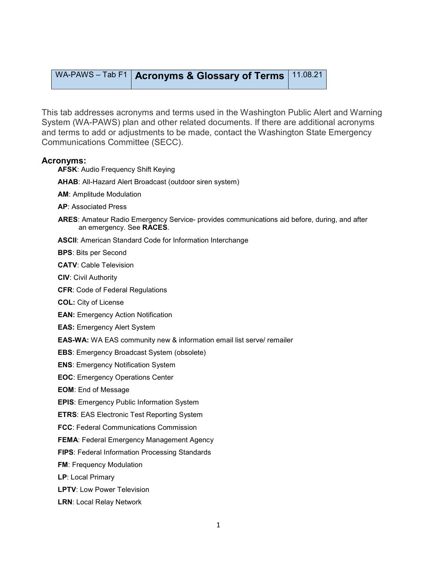## WA-PAWS – Tab F1 | Acronyms & Glossary of Terms | 11.08.21

This tab addresses acronyms and terms used in the Washington Public Alert and Warning System (WA-PAWS) plan and other related documents. If there are additional acronyms and terms to add or adjustments to be made, contact the Washington State Emergency Communications Committee (SECC).

## Acronyms:

- AFSK: Audio Frequency Shift Keying
- AHAB: All-Hazard Alert Broadcast (outdoor siren system)
- AM: Amplitude Modulation
- AP: Associated Press
- ARES: Amateur Radio Emergency Service- provides communications aid before, during, and after an emergency. See RACES.
- ASCII: American Standard Code for Information Interchange
- BPS: Bits per Second
- CATV: Cable Television
- CIV: Civil Authority
- CFR: Code of Federal Regulations
- COL: City of License
- EAN: Emergency Action Notification
- EAS: Emergency Alert System
- EAS-WA: WA EAS community new & information email list serve/ remailer
- EBS: Emergency Broadcast System (obsolete)
- ENS: Emergency Notification System
- EOC: Emergency Operations Center
- EOM: End of Message
- EPIS: Emergency Public Information System
- ETRS: EAS Electronic Test Reporting System
- FCC: Federal Communications Commission
- FEMA: Federal Emergency Management Agency
- FIPS: Federal Information Processing Standards
- FM: Frequency Modulation
- LP: Local Primary
- LPTV: Low Power Television
- LRN: Local Relay Network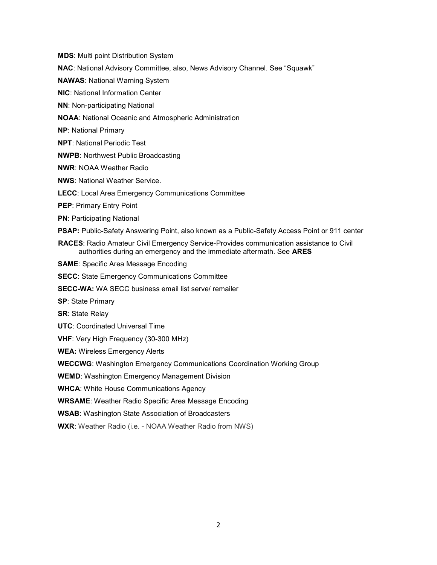MDS: Multi point Distribution System

- NAC: National Advisory Committee, also, News Advisory Channel. See "Squawk"
- NAWAS: National Warning System
- NIC: National Information Center
- NN: Non-participating National
- NOAA: National Oceanic and Atmospheric Administration
- NP: National Primary
- NPT: National Periodic Test
- NWPB: Northwest Public Broadcasting
- NWR: NOAA Weather Radio
- NWS: National Weather Service.
- LECC: Local Area Emergency Communications Committee
- PEP: Primary Entry Point
- PN: Participating National
- PSAP: Public-Safety Answering Point, also known as a Public-Safety Access Point or 911 center
- RACES: Radio Amateur Civil Emergency Service-Provides communication assistance to Civil authorities during an emergency and the immediate aftermath. See ARES
- SAME: Specific Area Message Encoding
- SECC: State Emergency Communications Committee
- SECC-WA: WA SECC business email list serve/ remailer
- SP: State Primary
- SR: State Relay
- UTC: Coordinated Universal Time
- VHF: Very High Frequency (30-300 MHz)

WEA: Wireless Emergency Alerts

WECCWG: Washington Emergency Communications Coordination Working Group

WEMD: Washington Emergency Management Division

WHCA: White House Communications Agency

WRSAME: Weather Radio Specific Area Message Encoding

WSAB: Washington State Association of Broadcasters

WXR: Weather Radio (i.e. - NOAA Weather Radio from NWS)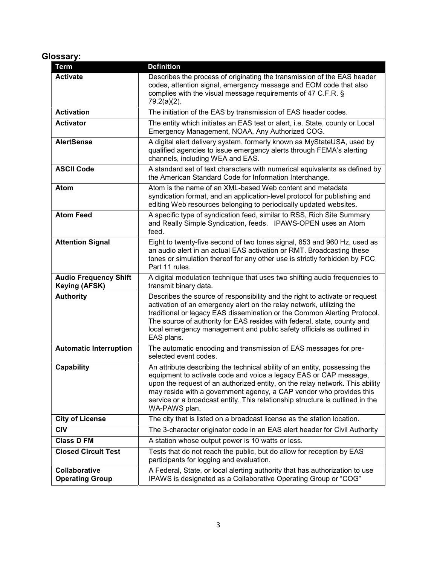## Glossary:

| <b>Term</b>                                    | <b>Definition</b>                                                                                                                                                                                                                                                                                                                                                                                        |
|------------------------------------------------|----------------------------------------------------------------------------------------------------------------------------------------------------------------------------------------------------------------------------------------------------------------------------------------------------------------------------------------------------------------------------------------------------------|
| <b>Activate</b>                                | Describes the process of originating the transmission of the EAS header<br>codes, attention signal, emergency message and EOM code that also<br>complies with the visual message requirements of 47 C.F.R. §<br>$79.2(a)(2)$ .                                                                                                                                                                           |
| <b>Activation</b>                              | The initiation of the EAS by transmission of EAS header codes.                                                                                                                                                                                                                                                                                                                                           |
| <b>Activator</b>                               | The entity which initiates an EAS test or alert, i.e. State, county or Local<br>Emergency Management, NOAA, Any Authorized COG.                                                                                                                                                                                                                                                                          |
| <b>AlertSense</b>                              | A digital alert delivery system, formerly known as MyStateUSA, used by<br>qualified agencies to issue emergency alerts through FEMA's alerting<br>channels, including WEA and EAS.                                                                                                                                                                                                                       |
| <b>ASCII Code</b>                              | A standard set of text characters with numerical equivalents as defined by<br>the American Standard Code for Information Interchange.                                                                                                                                                                                                                                                                    |
| Atom                                           | Atom is the name of an XML-based Web content and metadata<br>syndication format, and an application-level protocol for publishing and<br>editing Web resources belonging to periodically updated websites.                                                                                                                                                                                               |
| <b>Atom Feed</b>                               | A specific type of syndication feed, similar to RSS, Rich Site Summary<br>and Really Simple Syndication, feeds. IPAWS-OPEN uses an Atom<br>feed.                                                                                                                                                                                                                                                         |
| <b>Attention Signal</b>                        | Eight to twenty-five second of two tones signal, 853 and 960 Hz, used as<br>an audio alert in an actual EAS activation or RMT. Broadcasting these<br>tones or simulation thereof for any other use is strictly forbidden by FCC<br>Part 11 rules.                                                                                                                                                        |
| <b>Audio Frequency Shift</b><br>Keying (AFSK)  | A digital modulation technique that uses two shifting audio frequencies to<br>transmit binary data.                                                                                                                                                                                                                                                                                                      |
| <b>Authority</b>                               | Describes the source of responsibility and the right to activate or request<br>activation of an emergency alert on the relay network, utilizing the<br>traditional or legacy EAS dissemination or the Common Alerting Protocol.<br>The source of authority for EAS resides with federal, state, county and<br>local emergency management and public safety officials as outlined in<br>EAS plans.        |
| <b>Automatic Interruption</b>                  | The automatic encoding and transmission of EAS messages for pre-<br>selected event codes.                                                                                                                                                                                                                                                                                                                |
| Capability                                     | An attribute describing the technical ability of an entity, possessing the<br>equipment to activate code and voice a legacy EAS or CAP message,<br>upon the request of an authorized entity, on the relay network. This ability<br>may reside with a government agency, a CAP vendor who provides this<br>service or a broadcast entity. This relationship structure is outlined in the<br>WA-PAWS plan. |
| <b>City of License</b>                         | The city that is listed on a broadcast license as the station location.                                                                                                                                                                                                                                                                                                                                  |
| <b>CIV</b>                                     | The 3-character originator code in an EAS alert header for Civil Authority                                                                                                                                                                                                                                                                                                                               |
| <b>Class D FM</b>                              | A station whose output power is 10 watts or less.                                                                                                                                                                                                                                                                                                                                                        |
| <b>Closed Circuit Test</b>                     | Tests that do not reach the public, but do allow for reception by EAS<br>participants for logging and evaluation.                                                                                                                                                                                                                                                                                        |
| <b>Collaborative</b><br><b>Operating Group</b> | A Federal, State, or local alerting authority that has authorization to use<br>IPAWS is designated as a Collaborative Operating Group or "COG"                                                                                                                                                                                                                                                           |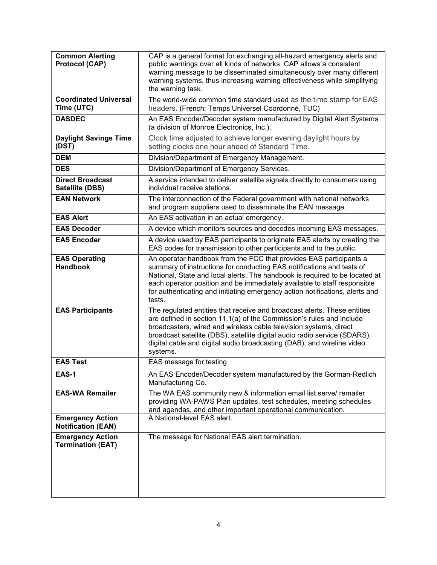| <b>Common Alerting</b><br><b>Protocol (CAP)</b>      | CAP is a general format for exchanging all-hazard emergency alerts and<br>public warnings over all kinds of networks. CAP allows a consistent<br>warning message to be disseminated simultaneously over many different<br>warning systems, thus increasing warning effectiveness while simplifying<br>the warning task.                                                                          |
|------------------------------------------------------|--------------------------------------------------------------------------------------------------------------------------------------------------------------------------------------------------------------------------------------------------------------------------------------------------------------------------------------------------------------------------------------------------|
| <b>Coordinated Universal</b><br>Time (UTC)           | The world-wide common time standard used as the time stamp for EAS<br>headers. (French: Temps Universel Coordonné, TUC)                                                                                                                                                                                                                                                                          |
| <b>DASDEC</b>                                        | An EAS Encoder/Decoder system manufactured by Digital Alert Systems<br>(a division of Monroe Electronics, Inc.).                                                                                                                                                                                                                                                                                 |
| <b>Daylight Savings Time</b><br>(DST)                | Clock time adjusted to achieve longer evening daylight hours by<br>setting clocks one hour ahead of Standard Time.                                                                                                                                                                                                                                                                               |
| <b>DEM</b>                                           | Division/Department of Emergency Management.                                                                                                                                                                                                                                                                                                                                                     |
| <b>DES</b>                                           | Division/Department of Emergency Services.                                                                                                                                                                                                                                                                                                                                                       |
| <b>Direct Broadcast</b><br>Satellite (DBS)           | A service intended to deliver satellite signals directly to consumers using<br>individual receive stations.                                                                                                                                                                                                                                                                                      |
| <b>EAN Network</b>                                   | The interconnection of the Federal government with national networks<br>and program suppliers used to disseminate the EAN message.                                                                                                                                                                                                                                                               |
| <b>EAS Alert</b>                                     | An EAS activation in an actual emergency.                                                                                                                                                                                                                                                                                                                                                        |
| <b>EAS Decoder</b>                                   | A device which monitors sources and decodes incoming EAS messages.                                                                                                                                                                                                                                                                                                                               |
| <b>EAS Encoder</b>                                   | A device used by EAS participants to originate EAS alerts by creating the<br>EAS codes for transmission to other participants and to the public.                                                                                                                                                                                                                                                 |
| <b>EAS Operating</b><br><b>Handbook</b>              | An operator handbook from the FCC that provides EAS participants a<br>summary of instructions for conducting EAS notifications and tests of<br>National, State and local alerts. The handbook is required to be located at<br>each operator position and be immediately available to staff responsible<br>for authenticating and initiating emergency action notifications, alerts and<br>tests. |
| <b>EAS Participants</b>                              | The regulated entities that receive and broadcast alerts. These entities<br>are defined in section 11.1(a) of the Commission's rules and include<br>broadcasters, wired and wireless cable television systems, direct<br>broadcast satellite (DBS), satellite digital audio radio service (SDARS),<br>digital cable and digital audio broadcasting (DAB), and wireline video<br>systems.         |
| <b>EAS Test</b>                                      | EAS message for testing                                                                                                                                                                                                                                                                                                                                                                          |
| <b>EAS-1</b>                                         | An EAS Encoder/Decoder system manufactured by the Gorman-Redlich<br>Manufacturing Co.                                                                                                                                                                                                                                                                                                            |
| <b>EAS-WA Remailer</b>                               | The WA EAS community new & information email list serve/ remailer<br>providing WA-PAWS Plan updates, test schedules, meeting schedules<br>and agendas, and other important operational communication.                                                                                                                                                                                            |
| <b>Emergency Action</b><br><b>Notification (EAN)</b> | A National-level EAS alert.                                                                                                                                                                                                                                                                                                                                                                      |
| <b>Emergency Action</b><br><b>Termination (EAT)</b>  | The message for National EAS alert termination.                                                                                                                                                                                                                                                                                                                                                  |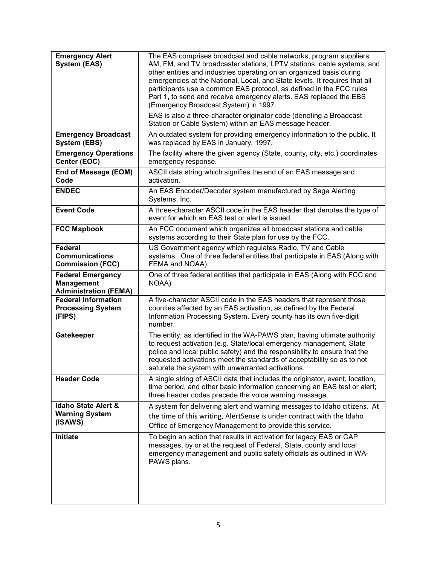| <b>Emergency Alert</b><br><b>System (EAS)</b>                                 | The EAS comprises broadcast and cable networks, program suppliers,<br>AM, FM, and TV broadcaster stations, LPTV stations, cable systems, and<br>other entities and industries operating on an organized basis during<br>emergencies at the National, Local, and State levels. It requires that all<br>participants use a common EAS protocol, as defined in the FCC rules<br>Part 1, to send and receive emergency alerts. EAS replaced the EBS<br>(Emergency Broadcast System) in 1997.<br>EAS is also a three-character originator code (denoting a Broadcast |
|-------------------------------------------------------------------------------|-----------------------------------------------------------------------------------------------------------------------------------------------------------------------------------------------------------------------------------------------------------------------------------------------------------------------------------------------------------------------------------------------------------------------------------------------------------------------------------------------------------------------------------------------------------------|
|                                                                               | Station or Cable System) within an EAS message header.                                                                                                                                                                                                                                                                                                                                                                                                                                                                                                          |
| <b>Emergency Broadcast</b><br><b>System (EBS)</b>                             | An outdated system for providing emergency information to the public. It<br>was replaced by EAS in January, 1997.                                                                                                                                                                                                                                                                                                                                                                                                                                               |
| <b>Emergency Operations</b><br>Center (EOC)                                   | The facility where the given agency (State, county, city, etc.) coordinates<br>emergency response.                                                                                                                                                                                                                                                                                                                                                                                                                                                              |
| End of Message (EOM)<br>Code                                                  | ASCII data string which signifies the end of an EAS message and<br>activation.                                                                                                                                                                                                                                                                                                                                                                                                                                                                                  |
| <b>ENDEC</b>                                                                  | An EAS Encoder/Decoder system manufactured by Sage Alerting<br>Systems, Inc.                                                                                                                                                                                                                                                                                                                                                                                                                                                                                    |
| <b>Event Code</b>                                                             | A three-character ASCII code in the EAS header that denotes the type of<br>event for which an EAS test or alert is issued.                                                                                                                                                                                                                                                                                                                                                                                                                                      |
| <b>FCC Mapbook</b>                                                            | An FCC document which organizes all broadcast stations and cable<br>systems according to their State plan for use by the FCC.                                                                                                                                                                                                                                                                                                                                                                                                                                   |
| <b>Federal</b><br><b>Communications</b><br><b>Commission (FCC)</b>            | US Government agency which regulates Radio, TV and Cable<br>systems. One of three federal entities that participate in EAS.(Along with<br>FEMA and NOAA)                                                                                                                                                                                                                                                                                                                                                                                                        |
| <b>Federal Emergency</b><br><b>Management</b><br><b>Administration (FEMA)</b> | One of three federal entities that participate in EAS (Along with FCC and<br>NOAA)                                                                                                                                                                                                                                                                                                                                                                                                                                                                              |
| <b>Federal Information</b><br><b>Processing System</b><br>(FIPS)              | A five-character ASCII code in the EAS headers that represent those<br>counties affected by an EAS activation, as defined by the Federal<br>Information Processing System. Every county has its own five-digit<br>number.                                                                                                                                                                                                                                                                                                                                       |
| Gatekeeper                                                                    | The entity, as identified in the WA-PAWS plan, having ultimate authority<br>to request activation (e.g. State/local emergency management, State<br>police and local public safety) and the responsibility to ensure that the<br>requested activations meet the standards of acceptability so as to not<br>saturate the system with unwarranted activations.                                                                                                                                                                                                     |
| <b>Header Code</b>                                                            | A single string of ASCII data that includes the originator, event, location,<br>time period, and other basic information concerning an EAS test or alert;<br>three header codes precede the voice warning message.                                                                                                                                                                                                                                                                                                                                              |
| <b>Idaho State Alert &amp;</b><br><b>Warning System</b><br>(ISAWS)            | A system for delivering alert and warning messages to Idaho citizens. At<br>the time of this writing, AlertSense is under contract with the Idaho<br>Office of Emergency Management to provide this service.                                                                                                                                                                                                                                                                                                                                                    |
| Initiate                                                                      | To begin an action that results in activation for legacy EAS or CAP<br>messages, by or at the request of Federal, State, county and local<br>emergency management and public safety officials as outlined in WA-<br>PAWS plans.                                                                                                                                                                                                                                                                                                                                 |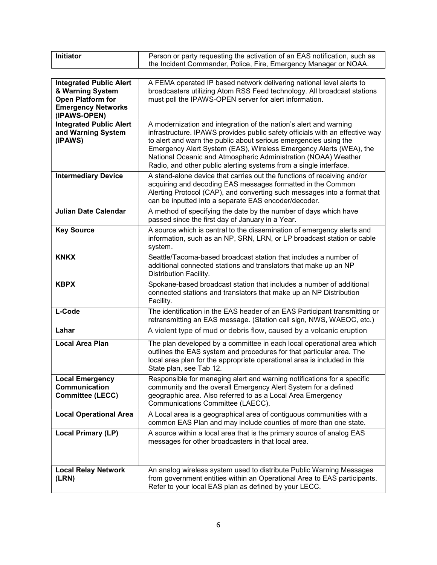| <b>Initiator</b> | Person or party requesting the activation of an EAS notification, such as |
|------------------|---------------------------------------------------------------------------|
|                  |                                                                           |
|                  | the Incident Commander, Police, Fire, Emergency Manager or NOAA.          |

| <b>Integrated Public Alert</b><br>& Warning System<br><b>Open Platform for</b><br><b>Emergency Networks</b><br>(IPAWS-OPEN) | A FEMA operated IP based network delivering national level alerts to<br>broadcasters utilizing Atom RSS Feed technology. All broadcast stations<br>must poll the IPAWS-OPEN server for alert information.                                                                                                                                                                                                                          |
|-----------------------------------------------------------------------------------------------------------------------------|------------------------------------------------------------------------------------------------------------------------------------------------------------------------------------------------------------------------------------------------------------------------------------------------------------------------------------------------------------------------------------------------------------------------------------|
| <b>Integrated Public Alert</b><br>and Warning System<br>(IPAWS)                                                             | A modernization and integration of the nation's alert and warning<br>infrastructure. IPAWS provides public safety officials with an effective way<br>to alert and warn the public about serious emergencies using the<br>Emergency Alert System (EAS), Wireless Emergency Alerts (WEA), the<br>National Oceanic and Atmospheric Administration (NOAA) Weather<br>Radio, and other public alerting systems from a single interface. |
| <b>Intermediary Device</b>                                                                                                  | A stand-alone device that carries out the functions of receiving and/or<br>acquiring and decoding EAS messages formatted in the Common<br>Alerting Protocol (CAP), and converting such messages into a format that<br>can be inputted into a separate EAS encoder/decoder.                                                                                                                                                         |
| <b>Julian Date Calendar</b>                                                                                                 | A method of specifying the date by the number of days which have<br>passed since the first day of January in a Year.                                                                                                                                                                                                                                                                                                               |
| <b>Key Source</b>                                                                                                           | A source which is central to the dissemination of emergency alerts and<br>information, such as an NP, SRN, LRN, or LP broadcast station or cable<br>system.                                                                                                                                                                                                                                                                        |
| <b>KNKX</b>                                                                                                                 | Seattle/Tacoma-based broadcast station that includes a number of<br>additional connected stations and translators that make up an NP<br>Distribution Facility.                                                                                                                                                                                                                                                                     |
| <b>KBPX</b>                                                                                                                 | Spokane-based broadcast station that includes a number of additional<br>connected stations and translators that make up an NP Distribution<br>Facility.                                                                                                                                                                                                                                                                            |
| L-Code                                                                                                                      | The identification in the EAS header of an EAS Participant transmitting or<br>retransmitting an EAS message. (Station call sign, NWS, WAEOC, etc.)                                                                                                                                                                                                                                                                                 |
| Lahar                                                                                                                       | A violent type of mud or debris flow, caused by a volcanic eruption                                                                                                                                                                                                                                                                                                                                                                |
| <b>Local Area Plan</b>                                                                                                      | The plan developed by a committee in each local operational area which<br>outlines the EAS system and procedures for that particular area. The<br>local area plan for the appropriate operational area is included in this<br>State plan, see Tab 12.                                                                                                                                                                              |
| <b>Local Emergency</b><br>Communication<br><b>Committee (LECC)</b>                                                          | Responsible for managing alert and warning notifications for a specific<br>community and the overall Emergency Alert System for a defined<br>geographic area. Also referred to as a Local Area Emergency<br>Communications Committee (LAECC).                                                                                                                                                                                      |
| <b>Local Operational Area</b>                                                                                               | A Local area is a geographical area of contiguous communities with a<br>common EAS Plan and may include counties of more than one state.                                                                                                                                                                                                                                                                                           |
| <b>Local Primary (LP)</b>                                                                                                   | A source within a local area that is the primary source of analog EAS<br>messages for other broadcasters in that local area.                                                                                                                                                                                                                                                                                                       |
| <b>Local Relay Network</b><br>(LRN)                                                                                         | An analog wireless system used to distribute Public Warning Messages<br>from government entities within an Operational Area to EAS participants.<br>Refer to your local EAS plan as defined by your LECC.                                                                                                                                                                                                                          |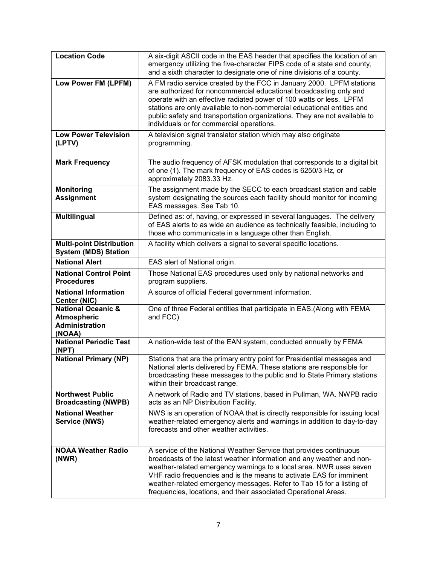| <b>Location Code</b>                                                                   | A six-digit ASCII code in the EAS header that specifies the location of an<br>emergency utilizing the five-character FIPS code of a state and county,<br>and a sixth character to designate one of nine divisions of a county.                                                                                                                                                                                                      |
|----------------------------------------------------------------------------------------|-------------------------------------------------------------------------------------------------------------------------------------------------------------------------------------------------------------------------------------------------------------------------------------------------------------------------------------------------------------------------------------------------------------------------------------|
| Low Power FM (LPFM)                                                                    | A FM radio service created by the FCC in January 2000. LPFM stations<br>are authorized for noncommercial educational broadcasting only and<br>operate with an effective radiated power of 100 watts or less. LPFM<br>stations are only available to non-commercial educational entities and<br>public safety and transportation organizations. They are not available to<br>individuals or for commercial operations.               |
| <b>Low Power Television</b><br>(LPTV)                                                  | A television signal translator station which may also originate<br>programming.                                                                                                                                                                                                                                                                                                                                                     |
| <b>Mark Frequency</b>                                                                  | The audio frequency of AFSK modulation that corresponds to a digital bit<br>of one (1). The mark frequency of EAS codes is 6250/3 Hz, or<br>approximately 2083.33 Hz.                                                                                                                                                                                                                                                               |
| <b>Monitoring</b><br><b>Assignment</b>                                                 | The assignment made by the SECC to each broadcast station and cable<br>system designating the sources each facility should monitor for incoming<br>EAS messages. See Tab 10.                                                                                                                                                                                                                                                        |
| <b>Multilingual</b>                                                                    | Defined as: of, having, or expressed in several languages. The delivery<br>of EAS alerts to as wide an audience as technically feasible, including to<br>those who communicate in a language other than English.                                                                                                                                                                                                                    |
| <b>Multi-point Distribution</b><br><b>System (MDS) Station</b>                         | A facility which delivers a signal to several specific locations.                                                                                                                                                                                                                                                                                                                                                                   |
| <b>National Alert</b>                                                                  | EAS alert of National origin.                                                                                                                                                                                                                                                                                                                                                                                                       |
| <b>National Control Point</b><br><b>Procedures</b>                                     | Those National EAS procedures used only by national networks and<br>program suppliers.                                                                                                                                                                                                                                                                                                                                              |
| <b>National Information</b><br><b>Center (NIC)</b>                                     | A source of official Federal government information.                                                                                                                                                                                                                                                                                                                                                                                |
| <b>National Oceanic &amp;</b><br><b>Atmospheric</b><br><b>Administration</b><br>(NOAA) | One of three Federal entities that participate in EAS.(Along with FEMA<br>and FCC)                                                                                                                                                                                                                                                                                                                                                  |
| <b>National Periodic Test</b><br>(NPT)                                                 | A nation-wide test of the EAN system, conducted annually by FEMA                                                                                                                                                                                                                                                                                                                                                                    |
| <b>National Primary (NP)</b>                                                           | Stations that are the primary entry point for Presidential messages and<br>National alerts delivered by FEMA. These stations are responsible for<br>broadcasting these messages to the public and to State Primary stations<br>within their broadcast range.                                                                                                                                                                        |
| <b>Northwest Public</b><br><b>Broadcasting (NWPB)</b>                                  | A network of Radio and TV stations, based in Pullman, WA. NWPB radio<br>acts as an NP Distribution Facility.                                                                                                                                                                                                                                                                                                                        |
| <b>National Weather</b><br>Service (NWS)                                               | NWS is an operation of NOAA that is directly responsible for issuing local<br>weather-related emergency alerts and warnings in addition to day-to-day<br>forecasts and other weather activities.                                                                                                                                                                                                                                    |
| <b>NOAA Weather Radio</b><br>(NWR)                                                     | A service of the National Weather Service that provides continuous<br>broadcasts of the latest weather information and any weather and non-<br>weather-related emergency warnings to a local area. NWR uses seven<br>VHF radio frequencies and is the means to activate EAS for imminent<br>weather-related emergency messages. Refer to Tab 15 for a listing of<br>frequencies, locations, and their associated Operational Areas. |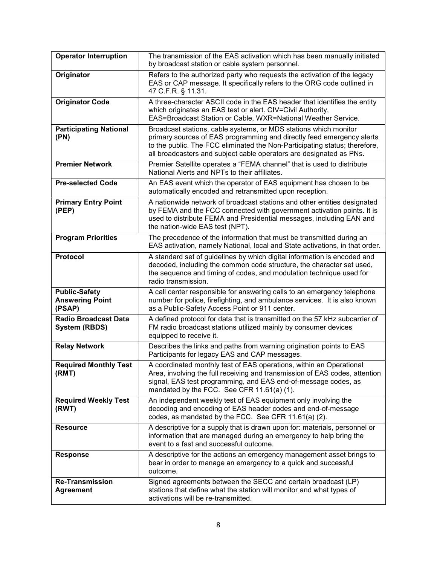| <b>Operator Interruption</b>                             | The transmission of the EAS activation which has been manually initiated<br>by broadcast station or cable system personnel.                                                                                                                                                                    |
|----------------------------------------------------------|------------------------------------------------------------------------------------------------------------------------------------------------------------------------------------------------------------------------------------------------------------------------------------------------|
| Originator                                               | Refers to the authorized party who requests the activation of the legacy<br>EAS or CAP message. It specifically refers to the ORG code outlined in<br>47 C.F.R. § 11.31.                                                                                                                       |
| <b>Originator Code</b>                                   | A three-character ASCII code in the EAS header that identifies the entity<br>which originates an EAS test or alert. CIV=Civil Authority,<br>EAS=Broadcast Station or Cable, WXR=National Weather Service.                                                                                      |
| <b>Participating National</b><br>(PN)                    | Broadcast stations, cable systems, or MDS stations which monitor<br>primary sources of EAS programming and directly feed emergency alerts<br>to the public. The FCC eliminated the Non-Participating status; therefore,<br>all broadcasters and subject cable operators are designated as PNs. |
| <b>Premier Network</b>                                   | Premier Satellite operates a "FEMA channel" that is used to distribute<br>National Alerts and NPTs to their affiliates.                                                                                                                                                                        |
| <b>Pre-selected Code</b>                                 | An EAS event which the operator of EAS equipment has chosen to be<br>automatically encoded and retransmitted upon reception.                                                                                                                                                                   |
| <b>Primary Entry Point</b><br>(PEP)                      | A nationwide network of broadcast stations and other entities designated<br>by FEMA and the FCC connected with government activation points. It is<br>used to distribute FEMA and Presidential messages, including EAN and<br>the nation-wide EAS test (NPT).                                  |
| <b>Program Priorities</b>                                | The precedence of the information that must be transmitted during an<br>EAS activation, namely National, local and State activations, in that order.                                                                                                                                           |
| <b>Protocol</b>                                          | A standard set of guidelines by which digital information is encoded and<br>decoded, including the common code structure, the character set used,<br>the sequence and timing of codes, and modulation technique used for<br>radio transmission.                                                |
| <b>Public-Safety</b><br><b>Answering Point</b><br>(PSAP) | A call center responsible for answering calls to an emergency telephone<br>number for police, firefighting, and ambulance services. It is also known<br>as a Public-Safety Access Point or 911 center.                                                                                         |
| <b>Radio Broadcast Data</b><br><b>System (RBDS)</b>      | A defined protocol for data that is transmitted on the 57 kHz subcarrier of<br>FM radio broadcast stations utilized mainly by consumer devices<br>equipped to receive it.                                                                                                                      |
| <b>Relay Network</b>                                     | Describes the links and paths from warning origination points to EAS<br>Participants for legacy EAS and CAP messages.                                                                                                                                                                          |
| <b>Required Monthly Test</b><br>(RMT)                    | A coordinated monthly test of EAS operations, within an Operational<br>Area, involving the full receiving and transmission of EAS codes, attention<br>signal, EAS test programming, and EAS end-of-message codes, as<br>mandated by the FCC. See CFR 11.61(a) (1).                             |
| <b>Required Weekly Test</b><br>(RWT)                     | An independent weekly test of EAS equipment only involving the<br>decoding and encoding of EAS header codes and end-of-message<br>codes, as mandated by the FCC. See CFR 11.61(a) (2).                                                                                                         |
| <b>Resource</b>                                          | A descriptive for a supply that is drawn upon for: materials, personnel or<br>information that are managed during an emergency to help bring the<br>event to a fast and successful outcome.                                                                                                    |
| <b>Response</b>                                          | A descriptive for the actions an emergency management asset brings to<br>bear in order to manage an emergency to a quick and successful<br>outcome.                                                                                                                                            |
| <b>Re-Transmission</b><br><b>Agreement</b>               | Signed agreements between the SECC and certain broadcast (LP)<br>stations that define what the station will monitor and what types of<br>activations will be re-transmitted.                                                                                                                   |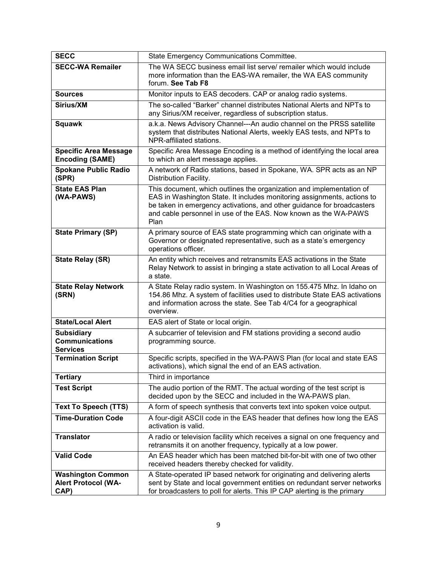| <b>SECC</b>                                                    | State Emergency Communications Committee.                                                                                                                                                                                                                                                            |
|----------------------------------------------------------------|------------------------------------------------------------------------------------------------------------------------------------------------------------------------------------------------------------------------------------------------------------------------------------------------------|
| <b>SECC-WA Remailer</b>                                        | The WA SECC business email list serve/ remailer which would include<br>more information than the EAS-WA remailer, the WA EAS community<br>forum. See Tab F8                                                                                                                                          |
| <b>Sources</b>                                                 | Monitor inputs to EAS decoders. CAP or analog radio systems.                                                                                                                                                                                                                                         |
| Sirius/XM                                                      | The so-called "Barker" channel distributes National Alerts and NPTs to<br>any Sirius/XM receiver, regardless of subscription status.                                                                                                                                                                 |
| <b>Squawk</b>                                                  | a.k.a. News Advisory Channel---An audio channel on the PRSS satellite<br>system that distributes National Alerts, weekly EAS tests, and NPTs to<br>NPR-affiliated stations.                                                                                                                          |
| <b>Specific Area Message</b><br><b>Encoding (SAME)</b>         | Specific Area Message Encoding is a method of identifying the local area<br>to which an alert message applies.                                                                                                                                                                                       |
| <b>Spokane Public Radio</b><br>(SPR)                           | A network of Radio stations, based in Spokane, WA. SPR acts as an NP<br>Distribution Facility.                                                                                                                                                                                                       |
| <b>State EAS Plan</b><br>(WA-PAWS)                             | This document, which outlines the organization and implementation of<br>EAS in Washington State. It includes monitoring assignments, actions to<br>be taken in emergency activations, and other guidance for broadcasters<br>and cable personnel in use of the EAS. Now known as the WA-PAWS<br>Plan |
| <b>State Primary (SP)</b>                                      | A primary source of EAS state programming which can originate with a<br>Governor or designated representative, such as a state's emergency<br>operations officer.                                                                                                                                    |
| <b>State Relay (SR)</b>                                        | An entity which receives and retransmits EAS activations in the State<br>Relay Network to assist in bringing a state activation to all Local Areas of<br>a state.                                                                                                                                    |
| <b>State Relay Network</b><br>(SRN)                            | A State Relay radio system. In Washington on 155.475 Mhz. In Idaho on<br>154.86 Mhz. A system of facilities used to distribute State EAS activations<br>and information across the state. See Tab 4/C4 for a geographical<br>overview.                                                               |
| <b>State/Local Alert</b>                                       | EAS alert of State or local origin.                                                                                                                                                                                                                                                                  |
| <b>Subsidiary</b><br><b>Communications</b><br><b>Services</b>  | A subcarrier of television and FM stations providing a second audio<br>programming source.                                                                                                                                                                                                           |
| <b>Termination Script</b>                                      | Specific scripts, specified in the WA-PAWS Plan (for local and state EAS<br>activations), which signal the end of an EAS activation.                                                                                                                                                                 |
| <b>Tertiary</b>                                                | Third in importance                                                                                                                                                                                                                                                                                  |
| <b>Test Script</b>                                             | The audio portion of the RMT. The actual wording of the test script is<br>decided upon by the SECC and included in the WA-PAWS plan.                                                                                                                                                                 |
| <b>Text To Speech (TTS)</b>                                    | A form of speech synthesis that converts text into spoken voice output.                                                                                                                                                                                                                              |
| <b>Time-Duration Code</b>                                      | A four-digit ASCII code in the EAS header that defines how long the EAS<br>activation is valid.                                                                                                                                                                                                      |
| <b>Translator</b>                                              | A radio or television facility which receives a signal on one frequency and<br>retransmits it on another frequency, typically at a low power.                                                                                                                                                        |
| <b>Valid Code</b>                                              | An EAS header which has been matched bit-for-bit with one of two other<br>received headers thereby checked for validity.                                                                                                                                                                             |
| <b>Washington Common</b><br><b>Alert Protocol (WA-</b><br>CAP) | A State-operated IP based network for originating and delivering alerts<br>sent by State and local government entities on redundant server networks<br>for broadcasters to poll for alerts. This IP CAP alerting is the primary                                                                      |